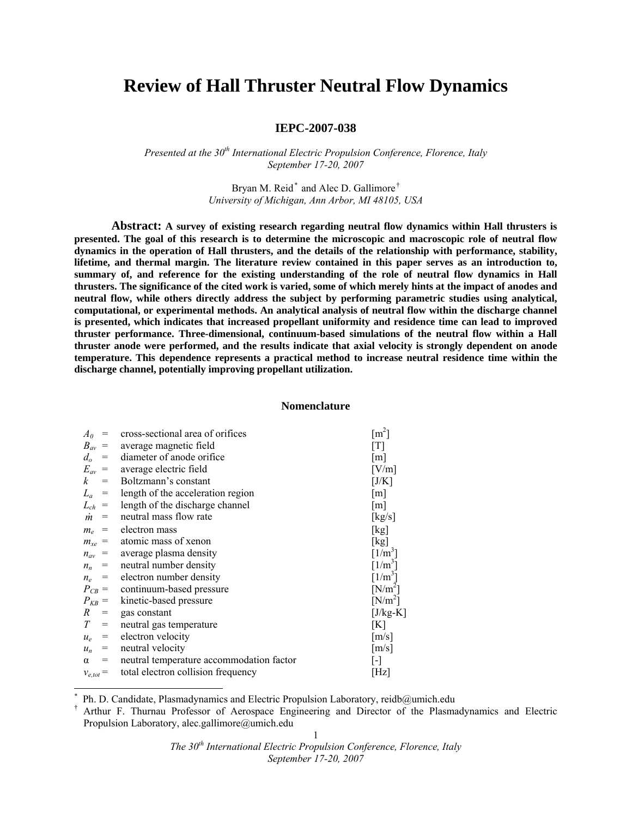# **Review of Hall Thruster Neutral Flow Dynamics**

# **IEPC-2007-038**

*Presented at the 30th International Electric Propulsion Conference, Florence, Italy September 17-20, 2007* 

> Bryan M. Reid<sup>\*</sup> and Alec D. Gallimore<sup>†</sup> *University of Michigan, Ann Arbor, MI 48105, USA*

**Abstract: A survey of existing research regarding neutral flow dynamics within Hall thrusters is presented. The goal of this research is to determine the microscopic and macroscopic role of neutral flow dynamics in the operation of Hall thrusters, and the details of the relationship with performance, stability, lifetime, and thermal margin. The literature review contained in this paper serves as an introduction to, summary of, and reference for the existing understanding of the role of neutral flow dynamics in Hall thrusters. The significance of the cited work is varied, some of which merely hints at the impact of anodes and neutral flow, while others directly address the subject by performing parametric studies using analytical, computational, or experimental methods. An analytical analysis of neutral flow within the discharge channel is presented, which indicates that increased propellant uniformity and residence time can lead to improved thruster performance. Three-dimensional, continuum-based simulations of the neutral flow within a Hall thruster anode were performed, and the results indicate that axial velocity is strongly dependent on anode temperature. This dependence represents a practical method to increase neutral residence time within the discharge channel, potentially improving propellant utilization.** 

#### **Nomenclature**

| $A_0$           | cross-sectional area of orifices           | $\lceil m^2 \rceil$     |
|-----------------|--------------------------------------------|-------------------------|
|                 | $B_{av}$ = average magnetic field          | [T]                     |
| $d_o$           | $=$ diameter of anode orifice              | $\lceil m \rceil$       |
|                 | $E_{av}$ = average electric field          | [V/m]                   |
| $\mathbf{k}$    | $=$ Boltzmann's constant                   | [J/K]                   |
|                 | $L_a$ = length of the acceleration region  | $\lceil m \rceil$       |
|                 | $L_{ch}$ = length of the discharge channel | $\lceil m \rceil$       |
|                 | $\dot{m}$ = neutral mass flow rate         | [kg/s]                  |
|                 | $m_e$ = electron mass                      | [kg]                    |
|                 | $m_{xe}$ = atomic mass of xenon            | [kg]                    |
|                 | $n_{av}$ = average plasma density          | $[1/m^3]$               |
| $n_n =$         | neutral number density                     | $[1/m^3]$               |
|                 | $n_e$ = electron number density            | $[1/m^3]$               |
|                 | $P_{CB}$ = continuum-based pressure        | $[N/m^2]$               |
|                 | $P_{KB}$ = kinetic-based pressure          | $[N/m^2]$               |
| R               | $=$ gas constant                           | [J/kg-K]                |
| $T =$           | neutral gas temperature                    | [K]                     |
| $u_e =$         | electron velocity                          | $\lceil m/s \rceil$     |
|                 | $u_n$ = neutral velocity                   | $\lceil m/s \rceil$     |
| $\alpha$<br>$=$ | neutral temperature accommodation factor   | $\lbrack \cdot \rbrack$ |
| $v_{e,tot} =$   | total electron collision frequency         | [Hz]                    |
|                 |                                            |                         |

<sup>\*</sup> Ph. D. Candidate, Plasmadynamics and Electric Propulsion Laboratory, reidb@umich.edu

 $\overline{a}$ 

<sup>1</sup> † Arthur F. Thurnau Professor of Aerospace Engineering and Director of the Plasmadynamics and Electric Propulsion Laboratory, alec.gallimore@umich.edu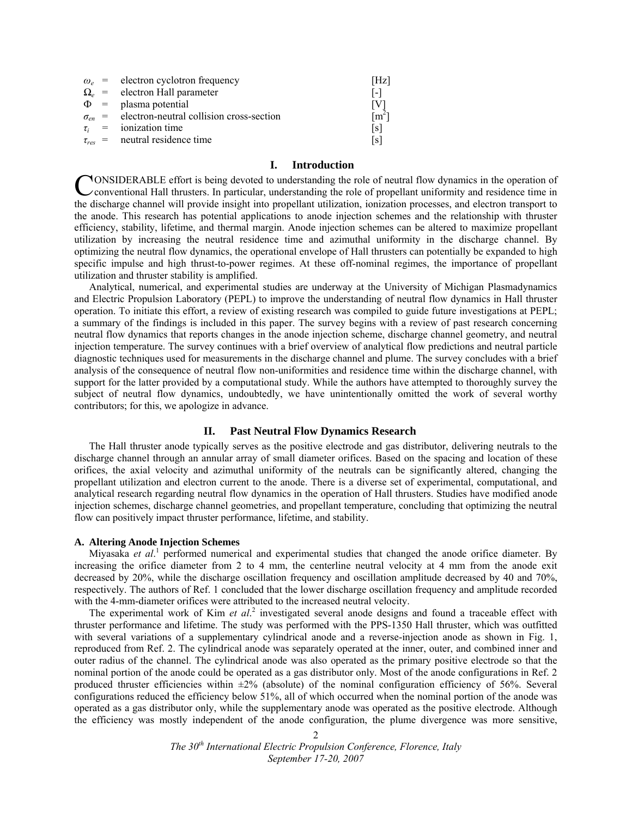|  | $\omega_e$ = electron cyclotron frequency                | [Hz]              |
|--|----------------------------------------------------------|-------------------|
|  | $\Omega_e$ = electron Hall parameter                     | $\lceil - \rceil$ |
|  | $\Phi$ = plasma potential                                | [V]               |
|  | $\sigma_{en}$ = electron-neutral collision cross-section | $\mathrm{m}^2$ ]  |
|  | $\tau_i$ = ionization time                               | [s]               |
|  | $\tau_{res}$ = neutral residence time                    | [s]               |

# **I. Introduction**

CONSIDERABLE effort is being devoted to understanding the role of neutral flow dynamics in the operation of conventional Hall thrusters. In particular, understanding the role of propellant uniformity and residence time in conventional Hall thrusters. In particular, understanding the role of propellant uniformity and residence time in the discharge channel will provide insight into propellant utilization, ionization processes, and electron transport to the anode. This research has potential applications to anode injection schemes and the relationship with thruster efficiency, stability, lifetime, and thermal margin. Anode injection schemes can be altered to maximize propellant utilization by increasing the neutral residence time and azimuthal uniformity in the discharge channel. By optimizing the neutral flow dynamics, the operational envelope of Hall thrusters can potentially be expanded to high specific impulse and high thrust-to-power regimes. At these off-nominal regimes, the importance of propellant utilization and thruster stability is amplified.

Analytical, numerical, and experimental studies are underway at the University of Michigan Plasmadynamics and Electric Propulsion Laboratory (PEPL) to improve the understanding of neutral flow dynamics in Hall thruster operation. To initiate this effort, a review of existing research was compiled to guide future investigations at PEPL; a summary of the findings is included in this paper. The survey begins with a review of past research concerning neutral flow dynamics that reports changes in the anode injection scheme, discharge channel geometry, and neutral injection temperature. The survey continues with a brief overview of analytical flow predictions and neutral particle diagnostic techniques used for measurements in the discharge channel and plume. The survey concludes with a brief analysis of the consequence of neutral flow non-uniformities and residence time within the discharge channel, with support for the latter provided by a computational study. While the authors have attempted to thoroughly survey the subject of neutral flow dynamics, undoubtedly, we have unintentionally omitted the work of several worthy contributors; for this, we apologize in advance.

## **II. Past Neutral Flow Dynamics Research**

The Hall thruster anode typically serves as the positive electrode and gas distributor, delivering neutrals to the discharge channel through an annular array of small diameter orifices. Based on the spacing and location of these orifices, the axial velocity and azimuthal uniformity of the neutrals can be significantly altered, changing the propellant utilization and electron current to the anode. There is a diverse set of experimental, computational, and analytical research regarding neutral flow dynamics in the operation of Hall thrusters. Studies have modified anode injection schemes, discharge channel geometries, and propellant temperature, concluding that optimizing the neutral flow can positively impact thruster performance, lifetime, and stability.

# **A. Altering Anode Injection Schemes**

Miyasaka *et al.*<sup>1</sup> performed numerical and experimental studies that changed the anode orifice diameter. By increasing the orifice diameter from 2 to 4 mm, the centerline neutral velocity at 4 mm from the anode exit decreased by 20%, while the discharge oscillation frequency and oscillation amplitude decreased by 40 and 70%, respectively. The authors of Ref. 1 concluded that the lower discharge oscillation frequency and amplitude recorded with the 4-mm-diameter orifices were attributed to the increased neutral velocity.

The experimental work of Kim *et al.*<sup>2</sup> investigated several anode designs and found a traceable effect with thruster performance and lifetime. The study was performed with the PPS-1350 Hall thruster, which was outfitted with several variations of a supplementary cylindrical anode and a reverse-injection anode as shown in Fig. 1, reproduced from Ref. 2. The cylindrical anode was separately operated at the inner, outer, and combined inner and outer radius of the channel. The cylindrical anode was also operated as the primary positive electrode so that the nominal portion of the anode could be operated as a gas distributor only. Most of the anode configurations in Ref. 2 produced thruster efficiencies within  $\pm 2\%$  (absolute) of the nominal configuration efficiency of 56%. Several configurations reduced the efficiency below 51%, all of which occurred when the nominal portion of the anode was operated as a gas distributor only, while the supplementary anode was operated as the positive electrode. Although the efficiency was mostly independent of the anode configuration, the plume divergence was more sensitive,

> *The 30th International Electric Propulsion Conference, Florence, Italy September 17-20, 2007*

 $\mathfrak{D}$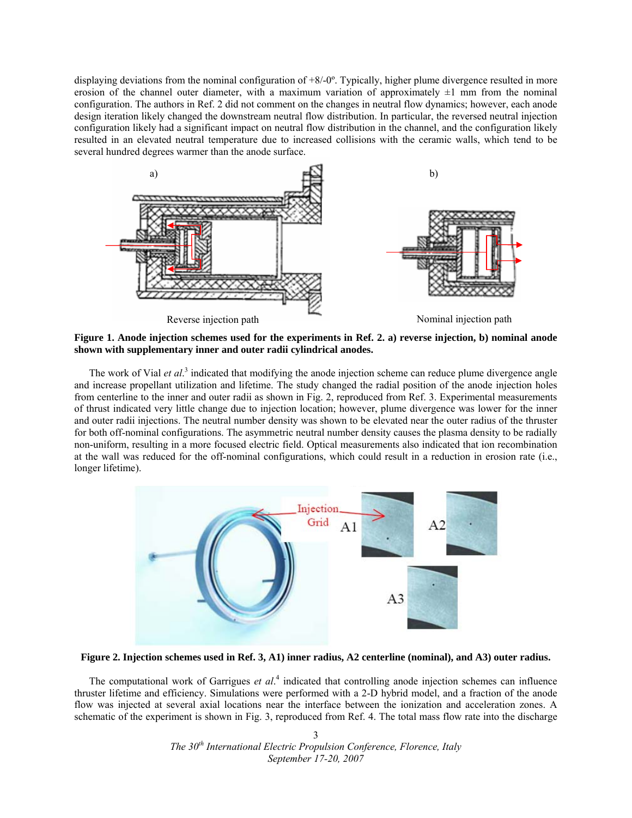displaying deviations from the nominal configuration of +8/-0º. Typically, higher plume divergence resulted in more erosion of the channel outer diameter, with a maximum variation of approximately  $\pm 1$  mm from the nominal configuration. The authors in Ref. 2 did not comment on the changes in neutral flow dynamics; however, each anode design iteration likely changed the downstream neutral flow distribution. In particular, the reversed neutral injection configuration likely had a significant impact on neutral flow distribution in the channel, and the configuration likely resulted in an elevated neutral temperature due to increased collisions with the ceramic walls, which tend to be several hundred degrees warmer than the anode surface.



**Figure 1. Anode injection schemes used for the experiments in Ref. 2. a) reverse injection, b) nominal anode shown with supplementary inner and outer radii cylindrical anodes.** 

The work of Vial *et al.*<sup>3</sup> indicated that modifying the anode injection scheme can reduce plume divergence angle and increase propellant utilization and lifetime. The study changed the radial position of the anode injection holes from centerline to the inner and outer radii as shown in Fig. 2, reproduced from Ref. 3. Experimental measurements of thrust indicated very little change due to injection location; however, plume divergence was lower for the inner and outer radii injections. The neutral number density was shown to be elevated near the outer radius of the thruster for both off-nominal configurations. The asymmetric neutral number density causes the plasma density to be radially non-uniform, resulting in a more focused electric field. Optical measurements also indicated that ion recombination at the wall was reduced for the off-nominal configurations, which could result in a reduction in erosion rate (i.e., longer lifetime).



**Figure 2. Injection schemes used in Ref. 3, A1) inner radius, A2 centerline (nominal), and A3) outer radius.** 

The computational work of Garrigues *et al*. 4 indicated that controlling anode injection schemes can influence thruster lifetime and efficiency. Simulations were performed with a 2-D hybrid model, and a fraction of the anode flow was injected at several axial locations near the interface between the ionization and acceleration zones. A schematic of the experiment is shown in Fig. 3, reproduced from Ref. 4. The total mass flow rate into the discharge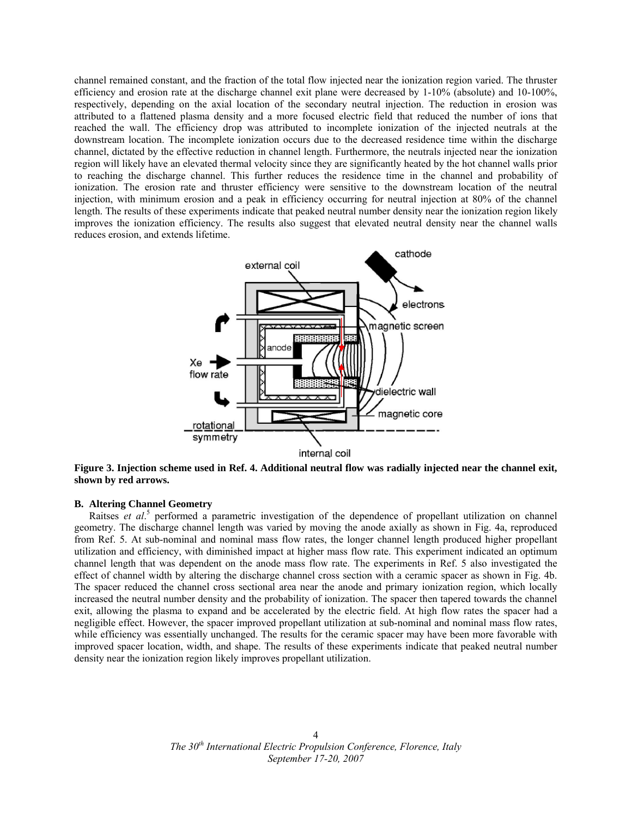channel remained constant, and the fraction of the total flow injected near the ionization region varied. The thruster efficiency and erosion rate at the discharge channel exit plane were decreased by 1-10% (absolute) and 10-100%, respectively, depending on the axial location of the secondary neutral injection. The reduction in erosion was attributed to a flattened plasma density and a more focused electric field that reduced the number of ions that reached the wall. The efficiency drop was attributed to incomplete ionization of the injected neutrals at the downstream location. The incomplete ionization occurs due to the decreased residence time within the discharge channel, dictated by the effective reduction in channel length. Furthermore, the neutrals injected near the ionization region will likely have an elevated thermal velocity since they are significantly heated by the hot channel walls prior to reaching the discharge channel. This further reduces the residence time in the channel and probability of ionization. The erosion rate and thruster efficiency were sensitive to the downstream location of the neutral injection, with minimum erosion and a peak in efficiency occurring for neutral injection at 80% of the channel length. The results of these experiments indicate that peaked neutral number density near the ionization region likely improves the ionization efficiency. The results also suggest that elevated neutral density near the channel walls reduces erosion, and extends lifetime.



**Figure 3. Injection scheme used in Ref. 4. Additional neutral flow was radially injected near the channel exit, shown by red arrows.** 

## **B. Altering Channel Geometry**

Raitses *et al.*<sup>5</sup> performed a parametric investigation of the dependence of propellant utilization on channel geometry. The discharge channel length was varied by moving the anode axially as shown in Fig. 4a, reproduced from Ref. 5. At sub-nominal and nominal mass flow rates, the longer channel length produced higher propellant utilization and efficiency, with diminished impact at higher mass flow rate. This experiment indicated an optimum channel length that was dependent on the anode mass flow rate. The experiments in Ref. 5 also investigated the effect of channel width by altering the discharge channel cross section with a ceramic spacer as shown in Fig. 4b. The spacer reduced the channel cross sectional area near the anode and primary ionization region, which locally increased the neutral number density and the probability of ionization. The spacer then tapered towards the channel exit, allowing the plasma to expand and be accelerated by the electric field. At high flow rates the spacer had a negligible effect. However, the spacer improved propellant utilization at sub-nominal and nominal mass flow rates, while efficiency was essentially unchanged. The results for the ceramic spacer may have been more favorable with improved spacer location, width, and shape. The results of these experiments indicate that peaked neutral number density near the ionization region likely improves propellant utilization.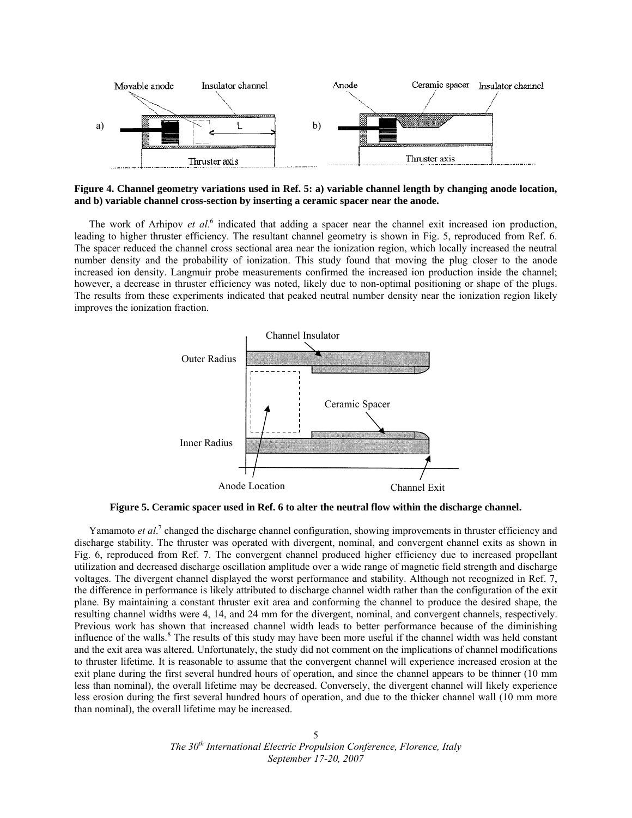

**Figure 4. Channel geometry variations used in Ref. 5: a) variable channel length by changing anode location, and b) variable channel cross-section by inserting a ceramic spacer near the anode.** 

The work of Arhipov *et al.*<sup>6</sup> indicated that adding a spacer near the channel exit increased ion production, leading to higher thruster efficiency. The resultant channel geometry is shown in Fig. 5, reproduced from Ref. 6. The spacer reduced the channel cross sectional area near the ionization region, which locally increased the neutral number density and the probability of ionization. This study found that moving the plug closer to the anode increased ion density. Langmuir probe measurements confirmed the increased ion production inside the channel; however, a decrease in thruster efficiency was noted, likely due to non-optimal positioning or shape of the plugs. The results from these experiments indicated that peaked neutral number density near the ionization region likely improves the ionization fraction.



**Figure 5. Ceramic spacer used in Ref. 6 to alter the neutral flow within the discharge channel.** 

Yamamoto *et al.*<sup>7</sup> changed the discharge channel configuration, showing improvements in thruster efficiency and discharge stability. The thruster was operated with divergent, nominal, and convergent channel exits as shown in Fig. 6, reproduced from Ref. 7. The convergent channel produced higher efficiency due to increased propellant utilization and decreased discharge oscillation amplitude over a wide range of magnetic field strength and discharge voltages. The divergent channel displayed the worst performance and stability. Although not recognized in Ref. 7, the difference in performance is likely attributed to discharge channel width rather than the configuration of the exit plane. By maintaining a constant thruster exit area and conforming the channel to produce the desired shape, the resulting channel widths were 4, 14, and 24 mm for the divergent, nominal, and convergent channels, respectively. Previous work has shown that increased channel width leads to better performance because of the diminishing influence of the walls.<sup>8</sup> The results of this study may have been more useful if the channel width was held constant and the exit area was altered. Unfortunately, the study did not comment on the implications of channel modifications to thruster lifetime. It is reasonable to assume that the convergent channel will experience increased erosion at the exit plane during the first several hundred hours of operation, and since the channel appears to be thinner (10 mm less than nominal), the overall lifetime may be decreased. Conversely, the divergent channel will likely experience less erosion during the first several hundred hours of operation, and due to the thicker channel wall (10 mm more than nominal), the overall lifetime may be increased.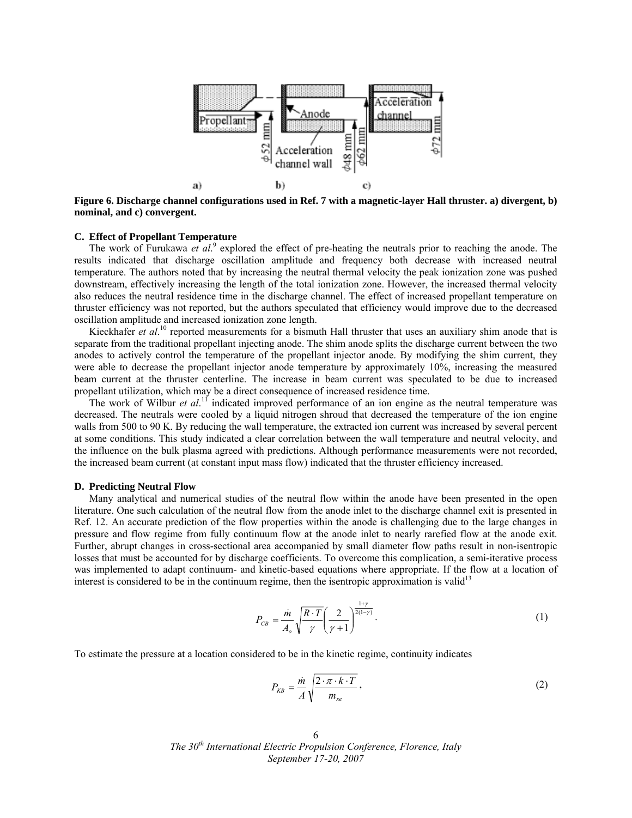

**Figure 6. Discharge channel configurations used in Ref. 7 with a magnetic-layer Hall thruster. a) divergent, b) nominal, and c) convergent.** 

# **C. Effect of Propellant Temperature**

The work of Furukawa *et al.*<sup>9</sup> explored the effect of pre-heating the neutrals prior to reaching the anode. The results indicated that discharge oscillation amplitude and frequency both decrease with increased neutral temperature. The authors noted that by increasing the neutral thermal velocity the peak ionization zone was pushed downstream, effectively increasing the length of the total ionization zone. However, the increased thermal velocity also reduces the neutral residence time in the discharge channel. The effect of increased propellant temperature on thruster efficiency was not reported, but the authors speculated that efficiency would improve due to the decreased oscillation amplitude and increased ionization zone length.

Kieckhafer *et al.*<sup>10</sup> reported measurements for a bismuth Hall thruster that uses an auxiliary shim anode that is separate from the traditional propellant injecting anode. The shim anode splits the discharge current between the two anodes to actively control the temperature of the propellant injector anode. By modifying the shim current, they were able to decrease the propellant injector anode temperature by approximately 10%, increasing the measured beam current at the thruster centerline. The increase in beam current was speculated to be due to increased propellant utilization, which may be a direct consequence of increased residence time.

The work of Wilbur *et al.*<sup>11</sup> indicated improved performance of an ion engine as the neutral temperature was decreased. The neutrals were cooled by a liquid nitrogen shroud that decreased the temperature of the ion engine walls from 500 to 90 K. By reducing the wall temperature, the extracted ion current was increased by several percent at some conditions. This study indicated a clear correlation between the wall temperature and neutral velocity, and the influence on the bulk plasma agreed with predictions. Although performance measurements were not recorded, the increased beam current (at constant input mass flow) indicated that the thruster efficiency increased.

#### **D. Predicting Neutral Flow**

Many analytical and numerical studies of the neutral flow within the anode have been presented in the open literature. One such calculation of the neutral flow from the anode inlet to the discharge channel exit is presented in Ref. 12. An accurate prediction of the flow properties within the anode is challenging due to the large changes in pressure and flow regime from fully continuum flow at the anode inlet to nearly rarefied flow at the anode exit. Further, abrupt changes in cross-sectional area accompanied by small diameter flow paths result in non-isentropic losses that must be accounted for by discharge coefficients. To overcome this complication, a semi-iterative process was implemented to adapt continuum- and kinetic-based equations where appropriate. If the flow at a location of interest is considered to be in the continuum regime, then the isentropic approximation is valid<sup>13</sup>

$$
P_{CB} = \frac{\dot{m}}{A_o} \sqrt{\frac{R \cdot T}{\gamma}} \left(\frac{2}{\gamma + 1}\right)^{\frac{1 + \gamma}{2(1 - \gamma)}}.
$$
 (1)

To estimate the pressure at a location considered to be in the kinetic regime, continuity indicates

$$
P_{KB} = \frac{\dot{m}}{A} \sqrt{\frac{2 \cdot \pi \cdot k \cdot T}{m_{xe}}},\tag{2}
$$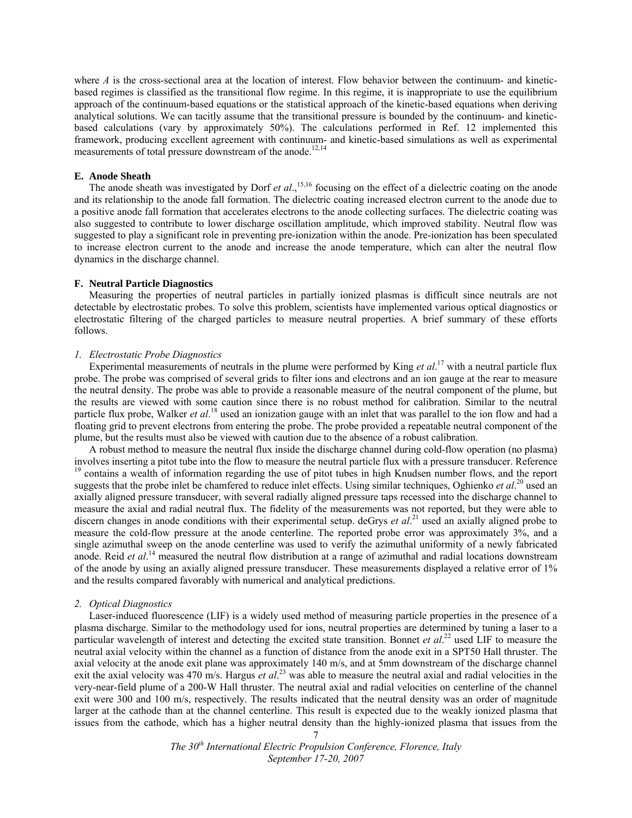where  $A$  is the cross-sectional area at the location of interest. Flow behavior between the continuum- and kineticbased regimes is classified as the transitional flow regime. In this regime, it is inappropriate to use the equilibrium approach of the continuum-based equations or the statistical approach of the kinetic-based equations when deriving analytical solutions. We can tacitly assume that the transitional pressure is bounded by the continuum- and kineticbased calculations (vary by approximately 50%). The calculations performed in Ref. 12 implemented this framework, producing excellent agreement with continuum- and kinetic-based simulations as well as experimental measurements of total pressure downstream of the anode.<sup>12,14</sup>

# **E. Anode Sheath**

The anode sheath was investigated by Dorf *et al.*,<sup>15,16</sup> focusing on the effect of a dielectric coating on the anode and its relationship to the anode fall formation. The dielectric coating increased electron current to the anode due to a positive anode fall formation that accelerates electrons to the anode collecting surfaces. The dielectric coating was also suggested to contribute to lower discharge oscillation amplitude, which improved stability. Neutral flow was suggested to play a significant role in preventing pre-ionization within the anode. Pre-ionization has been speculated to increase electron current to the anode and increase the anode temperature, which can alter the neutral flow dynamics in the discharge channel.

#### **F. Neutral Particle Diagnostics**

Measuring the properties of neutral particles in partially ionized plasmas is difficult since neutrals are not detectable by electrostatic probes. To solve this problem, scientists have implemented various optical diagnostics or electrostatic filtering of the charged particles to measure neutral properties. A brief summary of these efforts follows.

## *1. Electrostatic Probe Diagnostics*

Experimental measurements of neutrals in the plume were performed by King *et al*. 17 with a neutral particle flux probe. The probe was comprised of several grids to filter ions and electrons and an ion gauge at the rear to measure the neutral density. The probe was able to provide a reasonable measure of the neutral component of the plume, but the results are viewed with some caution since there is no robust method for calibration. Similar to the neutral particle flux probe, Walker *et al*.<sup>18</sup> used an ionization gauge with an inlet that was parallel to the ion flow and had a floating grid to prevent electrons from entering the probe. The probe provided a repeatable neutral component of the plume, but the results must also be viewed with caution due to the absence of a robust calibration.

A robust method to measure the neutral flux inside the discharge channel during cold-flow operation (no plasma) involves inserting a pitot tube into the flow to measure the neutral particle flux with a pressure transducer. Reference <sup>19</sup> contains a wealth of information regarding the use of pitot tubes in high Knudsen number flows, suggests that the probe inlet be chamfered to reduce inlet effects. Using similar techniques, Oghienko *et al*. 20 used an axially aligned pressure transducer, with several radially aligned pressure taps recessed into the discharge channel to measure the axial and radial neutral flux. The fidelity of the measurements was not reported, but they were able to discern changes in anode conditions with their experimental setup. deGrys *et al.*<sup>21</sup> used an axially aligned probe to measure the cold-flow pressure at the anode centerline. The reported probe error was approximately 3%, and a single azimuthal sweep on the anode centerline was used to verify the azimuthal uniformity of a newly fabricated anode. Reid *et al*. 14 measured the neutral flow distribution at a range of azimuthal and radial locations downstream of the anode by using an axially aligned pressure transducer. These measurements displayed a relative error of 1% and the results compared favorably with numerical and analytical predictions.

#### *2. Optical Diagnostics*

Laser-induced fluorescence (LIF) is a widely used method of measuring particle properties in the presence of a plasma discharge. Similar to the methodology used for ions, neutral properties are determined by tuning a laser to a particular wavelength of interest and detecting the excited state transition. Bonnet *et al*. 22 used LIF to measure the neutral axial velocity within the channel as a function of distance from the anode exit in a SPT50 Hall thruster. The axial velocity at the anode exit plane was approximately 140 m/s, and at 5mm downstream of the discharge channel exit the axial velocity was 470 m/s. Hargus *et al.*<sup>23</sup> was able to measure the neutral axial and radial velocities in the very-near-field plume of a 200-W Hall thruster. The neutral axial and radial velocities on centerline of the channel exit were 300 and 100 m/s, respectively. The results indicated that the neutral density was an order of magnitude larger at the cathode than at the channel centerline. This result is expected due to the weakly ionized plasma that issues from the cathode, which has a higher neutral density than the highly-ionized plasma that issues from the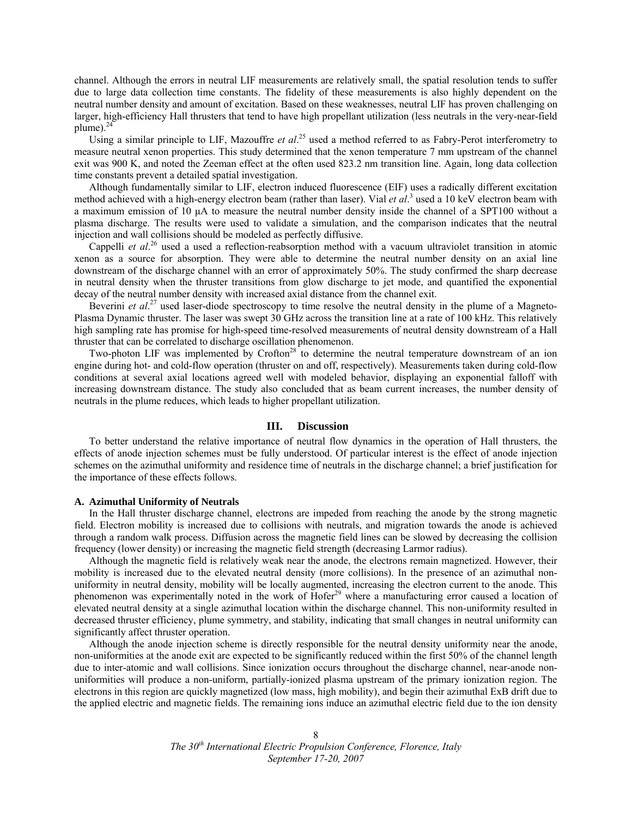channel. Although the errors in neutral LIF measurements are relatively small, the spatial resolution tends to suffer due to large data collection time constants. The fidelity of these measurements is also highly dependent on the neutral number density and amount of excitation. Based on these weaknesses, neutral LIF has proven challenging on larger, high-efficiency Hall thrusters that tend to have high propellant utilization (less neutrals in the very-near-field plume). $^{24}$ 

Using a similar principle to LIF, Mazouffre *et al.*<sup>25</sup> used a method referred to as Fabry-Perot interferometry to measure neutral xenon properties. This study determined that the xenon temperature 7 mm upstream of the channel exit was 900 K, and noted the Zeeman effect at the often used 823.2 nm transition line. Again, long data collection time constants prevent a detailed spatial investigation.

Although fundamentally similar to LIF, electron induced fluorescence (EIF) uses a radically different excitation method achieved with a high-energy electron beam (rather than laser). Vial *et al.*<sup>3</sup> used a 10 keV electron beam with a maximum emission of 10 μA to measure the neutral number density inside the channel of a SPT100 without a plasma discharge. The results were used to validate a simulation, and the comparison indicates that the neutral injection and wall collisions should be modeled as perfectly diffusive.

Cappelli *et al.*<sup>26</sup> used a used a reflection-reabsorption method with a vacuum ultraviolet transition in atomic xenon as a source for absorption. They were able to determine the neutral number density on an axial line downstream of the discharge channel with an error of approximately 50%. The study confirmed the sharp decrease in neutral density when the thruster transitions from glow discharge to jet mode, and quantified the exponential decay of the neutral number density with increased axial distance from the channel exit.

Beverini *et al.*<sup>27</sup> used laser-diode spectroscopy to time resolve the neutral density in the plume of a Magneto-Plasma Dynamic thruster. The laser was swept 30 GHz across the transition line at a rate of 100 kHz. This relatively high sampling rate has promise for high-speed time-resolved measurements of neutral density downstream of a Hall thruster that can be correlated to discharge oscillation phenomenon.

Two-photon LIF was implemented by Crofton<sup>28</sup> to determine the neutral temperature downstream of an ion engine during hot- and cold-flow operation (thruster on and off, respectively). Measurements taken during cold-flow conditions at several axial locations agreed well with modeled behavior, displaying an exponential falloff with increasing downstream distance. The study also concluded that as beam current increases, the number density of neutrals in the plume reduces, which leads to higher propellant utilization.

# **III. Discussion**

To better understand the relative importance of neutral flow dynamics in the operation of Hall thrusters, the effects of anode injection schemes must be fully understood. Of particular interest is the effect of anode injection schemes on the azimuthal uniformity and residence time of neutrals in the discharge channel; a brief justification for the importance of these effects follows.

#### **A. Azimuthal Uniformity of Neutrals**

In the Hall thruster discharge channel, electrons are impeded from reaching the anode by the strong magnetic field. Electron mobility is increased due to collisions with neutrals, and migration towards the anode is achieved through a random walk process. Diffusion across the magnetic field lines can be slowed by decreasing the collision frequency (lower density) or increasing the magnetic field strength (decreasing Larmor radius).

Although the magnetic field is relatively weak near the anode, the electrons remain magnetized. However, their mobility is increased due to the elevated neutral density (more collisions). In the presence of an azimuthal nonuniformity in neutral density, mobility will be locally augmented, increasing the electron current to the anode. This phenomenon was experimentally noted in the work of Hofer<sup>29</sup> where a manufacturing error caused a location of elevated neutral density at a single azimuthal location within the discharge channel. This non-uniformity resulted in decreased thruster efficiency, plume symmetry, and stability, indicating that small changes in neutral uniformity can significantly affect thruster operation.

Although the anode injection scheme is directly responsible for the neutral density uniformity near the anode, non-uniformities at the anode exit are expected to be significantly reduced within the first 50% of the channel length due to inter-atomic and wall collisions. Since ionization occurs throughout the discharge channel, near-anode nonuniformities will produce a non-uniform, partially-ionized plasma upstream of the primary ionization region. The electrons in this region are quickly magnetized (low mass, high mobility), and begin their azimuthal ExB drift due to the applied electric and magnetic fields. The remaining ions induce an azimuthal electric field due to the ion density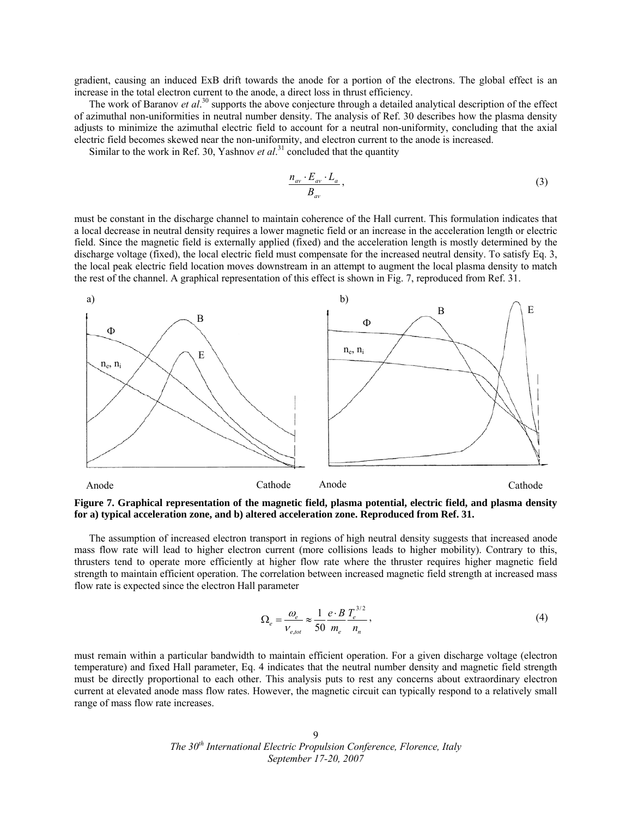gradient, causing an induced ExB drift towards the anode for a portion of the electrons. The global effect is an increase in the total electron current to the anode, a direct loss in thrust efficiency.

The work of Baranov *et al.*<sup>30</sup> supports the above conjecture through a detailed analytical description of the effect of azimuthal non-uniformities in neutral number density. The analysis of Ref. 30 describes how the plasma density adjusts to minimize the azimuthal electric field to account for a neutral non-uniformity, concluding that the axial electric field becomes skewed near the non-uniformity, and electron current to the anode is increased.

Similar to the work in Ref. 30, Yashnov *et al*.<sup>31</sup> concluded that the quantity

$$
\frac{n_{av} \cdot E_{av} \cdot L_a}{B_{av}},\tag{3}
$$

must be constant in the discharge channel to maintain coherence of the Hall current. This formulation indicates that a local decrease in neutral density requires a lower magnetic field or an increase in the acceleration length or electric field. Since the magnetic field is externally applied (fixed) and the acceleration length is mostly determined by the discharge voltage (fixed), the local electric field must compensate for the increased neutral density. To satisfy Eq. 3, the local peak electric field location moves downstream in an attempt to augment the local plasma density to match the rest of the channel. A graphical representation of this effect is shown in Fig. 7, reproduced from Ref. 31.



**Figure 7. Graphical representation of the magnetic field, plasma potential, electric field, and plasma density for a) typical acceleration zone, and b) altered acceleration zone. Reproduced from Ref. 31.** 

The assumption of increased electron transport in regions of high neutral density suggests that increased anode mass flow rate will lead to higher electron current (more collisions leads to higher mobility). Contrary to this, thrusters tend to operate more efficiently at higher flow rate where the thruster requires higher magnetic field strength to maintain efficient operation. The correlation between increased magnetic field strength at increased mass flow rate is expected since the electron Hall parameter

$$
\Omega_e = \frac{\omega_e}{V_{e, tot}} \approx \frac{1}{50} \frac{e \cdot B}{m_e} \frac{T_e^{3/2}}{n_n},\tag{4}
$$

must remain within a particular bandwidth to maintain efficient operation. For a given discharge voltage (electron temperature) and fixed Hall parameter, Eq. 4 indicates that the neutral number density and magnetic field strength must be directly proportional to each other. This analysis puts to rest any concerns about extraordinary electron current at elevated anode mass flow rates. However, the magnetic circuit can typically respond to a relatively small range of mass flow rate increases.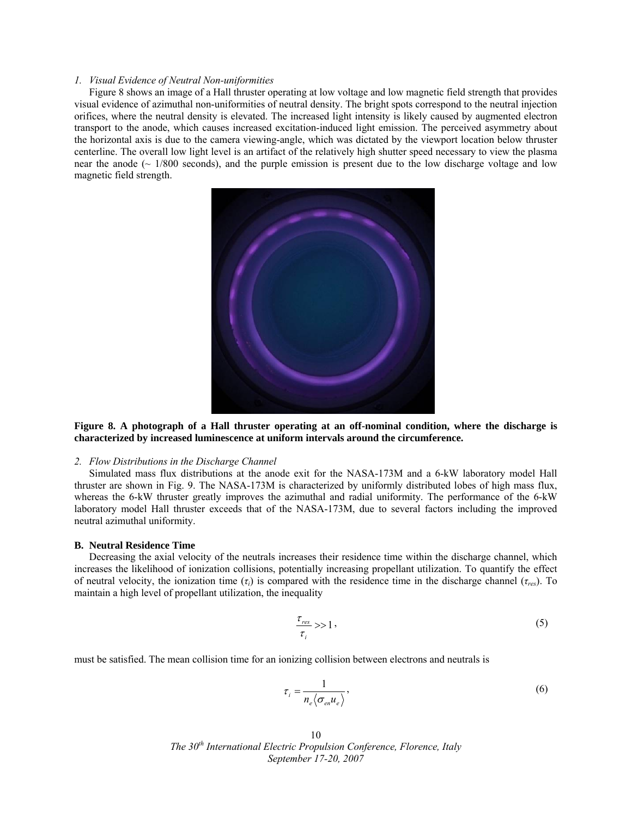# *1. Visual Evidence of Neutral Non-uniformities*

Figure 8 shows an image of a Hall thruster operating at low voltage and low magnetic field strength that provides visual evidence of azimuthal non-uniformities of neutral density. The bright spots correspond to the neutral injection orifices, where the neutral density is elevated. The increased light intensity is likely caused by augmented electron transport to the anode, which causes increased excitation-induced light emission. The perceived asymmetry about the horizontal axis is due to the camera viewing-angle, which was dictated by the viewport location below thruster centerline. The overall low light level is an artifact of the relatively high shutter speed necessary to view the plasma near the anode ( $\sim$  1/800 seconds), and the purple emission is present due to the low discharge voltage and low magnetic field strength.



**Figure 8. A photograph of a Hall thruster operating at an off-nominal condition, where the discharge is characterized by increased luminescence at uniform intervals around the circumference.** 

# *2. Flow Distributions in the Discharge Channel*

Simulated mass flux distributions at the anode exit for the NASA-173M and a 6-kW laboratory model Hall thruster are shown in Fig. 9. The NASA-173M is characterized by uniformly distributed lobes of high mass flux, whereas the 6-kW thruster greatly improves the azimuthal and radial uniformity. The performance of the 6-kW laboratory model Hall thruster exceeds that of the NASA-173M, due to several factors including the improved neutral azimuthal uniformity.

## **B. Neutral Residence Time**

Decreasing the axial velocity of the neutrals increases their residence time within the discharge channel, which increases the likelihood of ionization collisions, potentially increasing propellant utilization. To quantify the effect of neutral velocity, the ionization time (*τi*) is compared with the residence time in the discharge channel (*τres*). To maintain a high level of propellant utilization, the inequality

$$
\frac{\tau_{res}}{\tau_i} >> 1 \,, \tag{5}
$$

must be satisfied. The mean collision time for an ionizing collision between electrons and neutrals is

$$
\tau_i = \frac{1}{n_e \langle \sigma_{en} u_e \rangle},\tag{6}
$$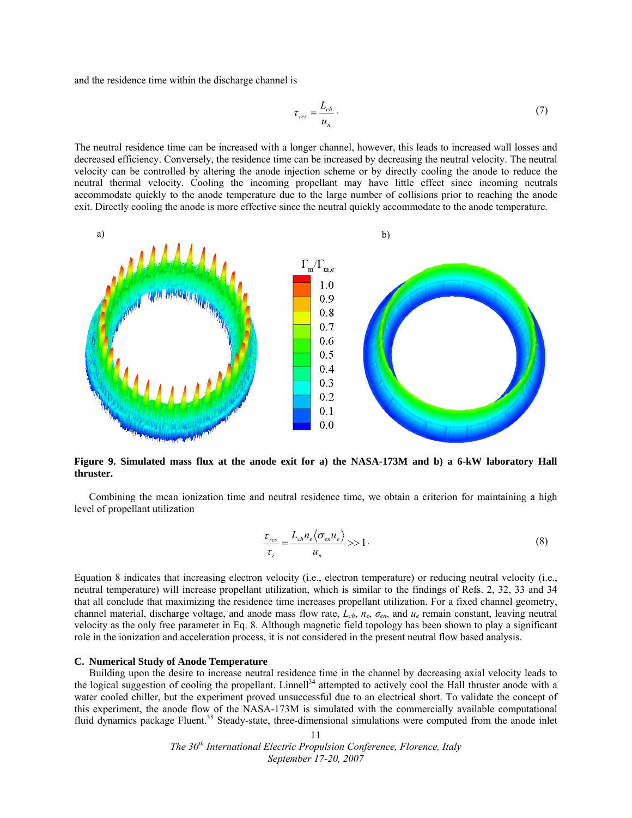and the residence time within the discharge channel is

$$
\tau_{res} = \frac{L_{ch}}{u_n} \,. \tag{7}
$$

The neutral residence time can be increased with a longer channel, however, this leads to increased wall losses and decreased efficiency. Conversely, the residence time can be increased by decreasing the neutral velocity. The neutral velocity can be controlled by altering the anode injection scheme or by directly cooling the anode to reduce the neutral thermal velocity. Cooling the incoming propellant may have little effect since incoming neutrals accommodate quickly to the anode temperature due to the large number of collisions prior to reaching the anode exit. Directly cooling the anode is more effective since the neutral quickly accommodate to the anode temperature.



**Figure 9. Simulated mass flux at the anode exit for a) the NASA-173M and b) a 6-kW laboratory Hall thruster.** 

Combining the mean ionization time and neutral residence time, we obtain a criterion for maintaining a high level of propellant utilization

$$
\frac{\tau_{res}}{\tau_i} = \frac{L_{ch} n_e \langle \sigma_{en} u_e \rangle}{u_n} >> 1.
$$
\n(8)

Equation 8 indicates that increasing electron velocity (i.e., electron temperature) or reducing neutral velocity (i.e., neutral temperature) will increase propellant utilization, which is similar to the findings of Refs. 2, 32, 33 and 34 that all conclude that maximizing the residence time increases propellant utilization. For a fixed channel geometry, channel material, discharge voltage, and anode mass flow rate, *Lch*, *ne*, *σen*, and *ue* remain constant, leaving neutral velocity as the only free parameter in Eq. 8. Although magnetic field topology has been shown to play a significant role in the ionization and acceleration process, it is not considered in the present neutral flow based analysis.

#### **C. Numerical Study of Anode Temperature**

Building upon the desire to increase neutral residence time in the channel by decreasing axial velocity leads to the logical suggestion of cooling the propellant. Linnell<sup>34</sup> attempted to actively cool the Hall thruster anode with a water cooled chiller, but the experiment proved unsuccessful due to an electrical short. To validate the concept of this experiment, the anode flow of the NASA-173M is simulated with the commercially available computational fluid dynamics package Fluent.<sup>35</sup> Steady-state, three-dimensional simulations were computed from the anode inlet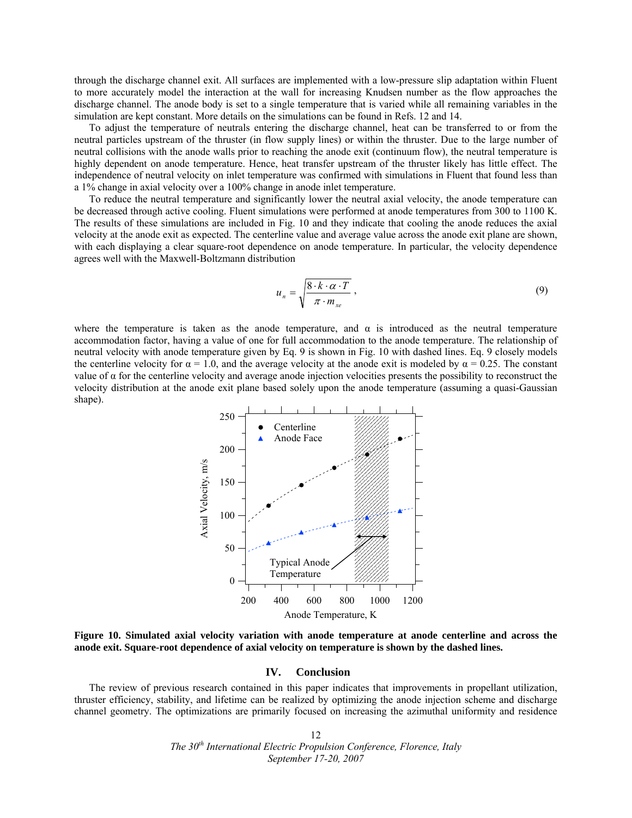through the discharge channel exit. All surfaces are implemented with a low-pressure slip adaptation within Fluent to more accurately model the interaction at the wall for increasing Knudsen number as the flow approaches the discharge channel. The anode body is set to a single temperature that is varied while all remaining variables in the simulation are kept constant. More details on the simulations can be found in Refs. 12 and 14.

To adjust the temperature of neutrals entering the discharge channel, heat can be transferred to or from the neutral particles upstream of the thruster (in flow supply lines) or within the thruster. Due to the large number of neutral collisions with the anode walls prior to reaching the anode exit (continuum flow), the neutral temperature is highly dependent on anode temperature. Hence, heat transfer upstream of the thruster likely has little effect. The independence of neutral velocity on inlet temperature was confirmed with simulations in Fluent that found less than a 1% change in axial velocity over a 100% change in anode inlet temperature.

To reduce the neutral temperature and significantly lower the neutral axial velocity, the anode temperature can be decreased through active cooling. Fluent simulations were performed at anode temperatures from 300 to 1100 K. The results of these simulations are included in Fig. 10 and they indicate that cooling the anode reduces the axial velocity at the anode exit as expected. The centerline value and average value across the anode exit plane are shown, with each displaying a clear square-root dependence on anode temperature. In particular, the velocity dependence agrees well with the Maxwell-Boltzmann distribution

$$
u_n = \sqrt{\frac{8 \cdot k \cdot \alpha \cdot T}{\pi \cdot m_{xe}}},
$$
\n(9)

where the temperature is taken as the anode temperature, and  $\alpha$  is introduced as the neutral temperature accommodation factor, having a value of one for full accommodation to the anode temperature. The relationship of neutral velocity with anode temperature given by Eq. 9 is shown in Fig. 10 with dashed lines. Eq. 9 closely models the centerline velocity for  $\alpha = 1.0$ , and the average velocity at the anode exit is modeled by  $\alpha = 0.25$ . The constant value of α for the centerline velocity and average anode injection velocities presents the possibility to reconstruct the velocity distribution at the anode exit plane based solely upon the anode temperature (assuming a quasi-Gaussian shape).



**Figure 10. Simulated axial velocity variation with anode temperature at anode centerline and across the anode exit. Square-root dependence of axial velocity on temperature is shown by the dashed lines.** 

#### **IV. Conclusion**

The review of previous research contained in this paper indicates that improvements in propellant utilization, thruster efficiency, stability, and lifetime can be realized by optimizing the anode injection scheme and discharge channel geometry. The optimizations are primarily focused on increasing the azimuthal uniformity and residence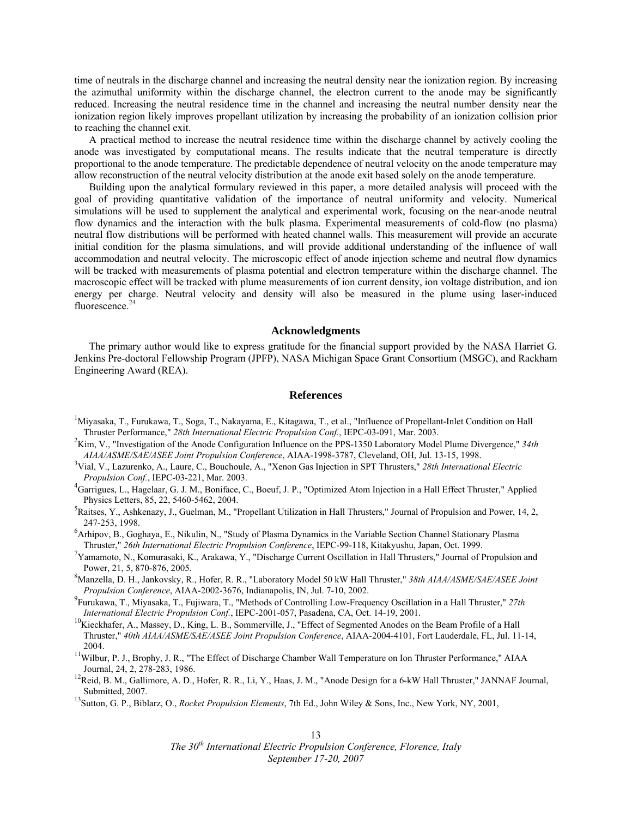time of neutrals in the discharge channel and increasing the neutral density near the ionization region. By increasing the azimuthal uniformity within the discharge channel, the electron current to the anode may be significantly reduced. Increasing the neutral residence time in the channel and increasing the neutral number density near the ionization region likely improves propellant utilization by increasing the probability of an ionization collision prior to reaching the channel exit.

A practical method to increase the neutral residence time within the discharge channel by actively cooling the anode was investigated by computational means. The results indicate that the neutral temperature is directly proportional to the anode temperature. The predictable dependence of neutral velocity on the anode temperature may allow reconstruction of the neutral velocity distribution at the anode exit based solely on the anode temperature.

Building upon the analytical formulary reviewed in this paper, a more detailed analysis will proceed with the goal of providing quantitative validation of the importance of neutral uniformity and velocity. Numerical simulations will be used to supplement the analytical and experimental work, focusing on the near-anode neutral flow dynamics and the interaction with the bulk plasma. Experimental measurements of cold-flow (no plasma) neutral flow distributions will be performed with heated channel walls. This measurement will provide an accurate initial condition for the plasma simulations, and will provide additional understanding of the influence of wall accommodation and neutral velocity. The microscopic effect of anode injection scheme and neutral flow dynamics will be tracked with measurements of plasma potential and electron temperature within the discharge channel. The macroscopic effect will be tracked with plume measurements of ion current density, ion voltage distribution, and ion energy per charge. Neutral velocity and density will also be measured in the plume using laser-induced fluorescence.<sup>24</sup>

# **Acknowledgments**

The primary author would like to express gratitude for the financial support provided by the NASA Harriet G. Jenkins Pre-doctoral Fellowship Program (JPFP), NASA Michigan Space Grant Consortium (MSGC), and Rackham Engineering Award (REA).

#### **References**

- <sup>1</sup>Miyasaka, T., Furukawa, T., Soga, T., Nakayama, E., Kitagawa, T., et al., "Influence of Propellant-Inlet Condition on Hall Thruster Performance," *28th International Electric Propulsion Conf.*, IEPC-03-091, Mar. 2003. 2
- <sup>2</sup>Kim, V., "Investigation of the Anode Configuration Influence on the PPS-1350 Laboratory Model Plume Divergence," 34th *AIAA/ASME/SAE/ASEE Joint Propulsion Conference*, AIAA-1998-3787, Cleveland, OH, Jul. 13-15, 1998. 3
- Vial, V., Lazurenko, A., Laure, C., Bouchoule, A., "Xenon Gas Injection in SPT Thrusters," *28th International Electric Propulsion Conf.*, IEPC-03-221, Mar. 2003. 4
- <sup>4</sup>Garrigues, L., Hagelaar, G. J. M., Boniface, C., Boeuf, J. P., "Optimized Atom Injection in a Hall Effect Thruster," Applied Physics Letters, 85, 22, 5460-5462, 2004.
- ${}^{5}$ Raitses, Y., Ashkenazy, J., Guelman, M., "Propellant Utilization in Hall Thrusters," Journal of Propulsion and Power, 14, 2, 247-253, 1998.<br><sup>6</sup>Arhipov, B., Goghaya, E., Nikulin, N., "Study of Plasma Dynamics in the Variable Section Channel Stationary Plasma
- Thruster," *26th International Electric Propulsion Conference*, IEPC-99-118, Kitakyushu, Japan, Oct. 1999. 7
- $^7$ Yamamoto, N., Komurasaki, K., Arakawa, Y., "Discharge Current Oscillation in Hall Thrusters," Journal of Propulsion and Power, 21, 5, 870-876, 2005.
- Manzella, D. H., Jankovsky, R., Hofer, R. R., "Laboratory Model 50 kW Hall Thruster," *38th AIAA/ASME/SAE/ASEE Joint Propulsion Conference*, AIAA-2002-3676, Indianapolis, IN, Jul. 7-10, 2002.
- Furukawa, T., Miyasaka, T., Fujiwara, T., "Methods of Controlling Low-Frequency Oscillation in a Hall Thruster," *27th*
- <sup>10</sup>Kieckhafer, A., Massey, D., King, L. B., Sommerville, J., "Effect of Segmented Anodes on the Beam Profile of a Hall Thruster," *40th AIAA/ASME/SAE/ASEE Joint Propulsion Conference*, AIAA-2004-4101, Fort Lauderdale, FL, Jul. 11-14, 2004.<br><sup>11</sup>Wilbur, P. J., Brophy, J. R., "The Effect of Discharge Chamber Wall Temperature on Ion Thruster Performance," AIAA
- Journal, 24, 2, 278-283, 1986.<br><sup>12</sup>Reid, B. M., Gallimore, A. D., Hofer, R. R., Li, Y., Haas, J. M., "Anode Design for a 6-kW Hall Thruster," JANNAF Journal,
- Submitted, 2007. 13Sutton, G. P., Biblarz, O., *Rocket Propulsion Elements*, 7th Ed., John Wiley & Sons, Inc., New York, NY, 2001,
-